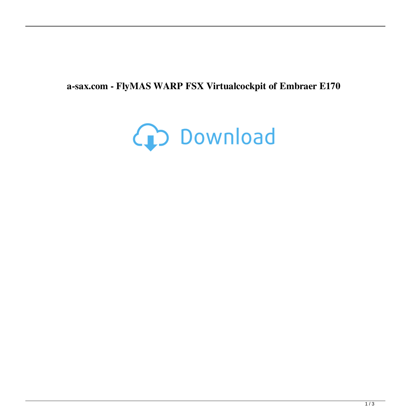## **a-sax.com - FlyMAS WARP FSX Virtualcockpit of Embraer E170**

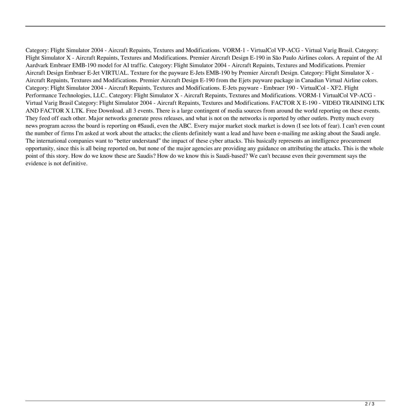Category: Flight Simulator 2004 - Aircraft Repaints, Textures and Modifications. VORM-1 - VirtualCol VP-ACG - Virtual Varig Brasil. Category: Flight Simulator X - Aircraft Repaints, Textures and Modifications. Premier Aircraft Design E-190 in São Paulo Airlines colors. A repaint of the AI Aardvark Embraer EMB-190 model for AI traffic. Category: Flight Simulator 2004 - Aircraft Repaints, Textures and Modifications. Premier Aircraft Design Embraer E-Jet VIRTUAL. Texture for the payware E-Jets EMB-190 by Premier Aircraft Design. Category: Flight Simulator X - Aircraft Repaints, Textures and Modifications. Premier Aircraft Design E-190 from the Ejets payware package in Canadian Virtual Airline colors. Category: Flight Simulator 2004 - Aircraft Repaints, Textures and Modifications. E-Jets payware - Embraer 190 - VirtualCol - XF2. Flight Performance Technologies, LLC.. Category: Flight Simulator X - Aircraft Repaints, Textures and Modifications. VORM-1 VirtualCol VP-ACG - Virtual Varig Brasil Category: Flight Simulator 2004 - Aircraft Repaints, Textures and Modifications. FACTOR X E-190 - VIDEO TRAINING LTK AND FACTOR X LTK. Free Download. all 3 events. There is a large contingent of media sources from around the world reporting on these events. They feed off each other. Major networks generate press releases, and what is not on the networks is reported by other outlets. Pretty much every news program across the board is reporting on #Saudi, even the ABC. Every major market stock market is down (I see lots of fear). I can't even count the number of firms I'm asked at work about the attacks; the clients definitely want a lead and have been e-mailing me asking about the Saudi angle. The international companies want to "better understand" the impact of these cyber attacks. This basically represents an intelligence procurement opportunity, since this is all being reported on, but none of the major agencies are providing any guidance on attributing the attacks. This is the whole point of this story. How do we know these are Saudis? How do we know this is Saudi-based? We can't because even their government says the evidence is not definitive.